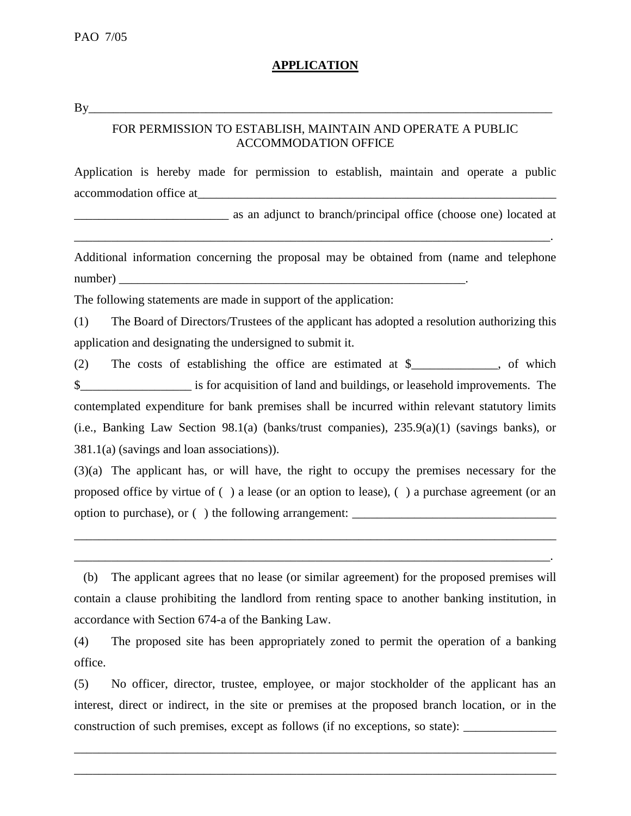## **APPLICATION**

By\_\_\_\_\_\_\_\_\_\_\_\_\_\_\_\_\_\_\_\_\_\_\_\_\_\_\_\_\_\_\_\_\_\_\_\_\_\_\_\_\_\_\_\_\_\_\_\_\_\_\_\_\_\_\_\_\_\_\_\_\_\_\_\_\_\_\_\_\_\_\_\_\_\_\_

## FOR PERMISSION TO ESTABLISH, MAINTAIN AND OPERATE A PUBLIC ACCOMMODATION OFFICE

Application is hereby made for permission to establish, maintain and operate a public accommodation office at  $\overline{a}$ 

as an adjunct to branch/principal office (choose one) located at

Additional information concerning the proposal may be obtained from (name and telephone number)

\_\_\_\_\_\_\_\_\_\_\_\_\_\_\_\_\_\_\_\_\_\_\_\_\_\_\_\_\_\_\_\_\_\_\_\_\_\_\_\_\_\_\_\_\_\_\_\_\_\_\_\_\_\_\_\_\_\_\_\_\_\_\_\_\_\_\_\_\_\_\_\_\_\_\_\_\_.

The following statements are made in support of the application:

(1) The Board of Directors/Trustees of the applicant has adopted a resolution authorizing this application and designating the undersigned to submit it.

(2) The costs of establishing the office are estimated at \$, of which  $\frac{1}{2}$  is for acquisition of land and buildings, or leasehold improvements. The contemplated expenditure for bank premises shall be incurred within relevant statutory limits (i.e., Banking Law Section 98.1(a) (banks/trust companies), 235.9(a)(1) (savings banks), or 381.1(a) (savings and loan associations)).

(3)(a) The applicant has, or will have, the right to occupy the premises necessary for the proposed office by virtue of ( ) a lease (or an option to lease), ( ) a purchase agreement (or an option to purchase), or  $(\cdot)$  the following arrangement:

\_\_\_\_\_\_\_\_\_\_\_\_\_\_\_\_\_\_\_\_\_\_\_\_\_\_\_\_\_\_\_\_\_\_\_\_\_\_\_\_\_\_\_\_\_\_\_\_\_\_\_\_\_\_\_\_\_\_\_\_\_\_\_\_\_\_\_\_\_\_\_\_\_\_\_\_\_\_

\_\_\_\_\_\_\_\_\_\_\_\_\_\_\_\_\_\_\_\_\_\_\_\_\_\_\_\_\_\_\_\_\_\_\_\_\_\_\_\_\_\_\_\_\_\_\_\_\_\_\_\_\_\_\_\_\_\_\_\_\_\_\_\_\_\_\_\_\_\_\_\_\_\_\_\_\_.

 (b) The applicant agrees that no lease (or similar agreement) for the proposed premises will contain a clause prohibiting the landlord from renting space to another banking institution, in accordance with Section 674-a of the Banking Law.

(4) The proposed site has been appropriately zoned to permit the operation of a banking office.

(5) No officer, director, trustee, employee, or major stockholder of the applicant has an interest, direct or indirect, in the site or premises at the proposed branch location, or in the construction of such premises, except as follows (if no exceptions, so state):

\_\_\_\_\_\_\_\_\_\_\_\_\_\_\_\_\_\_\_\_\_\_\_\_\_\_\_\_\_\_\_\_\_\_\_\_\_\_\_\_\_\_\_\_\_\_\_\_\_\_\_\_\_\_\_\_\_\_\_\_\_\_\_\_\_\_\_\_\_\_\_\_\_\_\_\_\_\_

\_\_\_\_\_\_\_\_\_\_\_\_\_\_\_\_\_\_\_\_\_\_\_\_\_\_\_\_\_\_\_\_\_\_\_\_\_\_\_\_\_\_\_\_\_\_\_\_\_\_\_\_\_\_\_\_\_\_\_\_\_\_\_\_\_\_\_\_\_\_\_\_\_\_\_\_\_\_